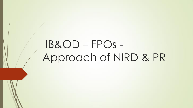# IB&OD – FPOs - Approach of NIRD & PR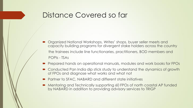### Distance Covered so far

- Organized National Workshops, Writes' shops, buyer seller meets and capacity building programs for divergent stake holders across the country the trainees include line functionaries, practitioners, BOD members and POPIs - TSAs
- Prepared hands on operational manuals, modules and work books for FPOs
- Conducted Pan India dip stick study to understand the dynamics of growth of FPOs and diagnose what works and what not
- Partner to SFAC, NABARD and different state initiatives
- Mentoring and Technically supporting 60 FPOs of north coastal AP funded by NABARD in addition to providing advisory services to TRIGP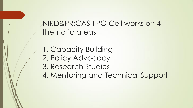# NIRD&PR:CAS-FPO Cell works on 4 thematic areas

1. Capacity Building 2. Policy Advocacy 3. Research Studies 4. Mentoring and Technical Support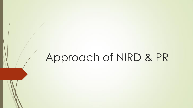# Approach of NIRD & PR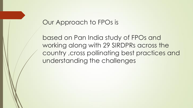#### Our Approach to FPOs is

based on Pan India study of FPOs and working along with 29 SIRDPRs across the country ,cross pollinating best practices and understanding the challenges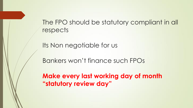The FPO should be statutory compliant in all respects

Its Non negotiable for us

Bankers won't finance such FPOs

**Make every last working day of month "statutory review day"**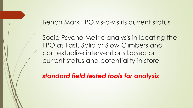#### Bench Mark FPO vis-à-vis its current status

Socio Psycho Metric analysis in locating the FPO as Fast, Solid or Slow Climbers and contextualize interventions based on current status and potentiality in store

*standard field tested tools for analysis*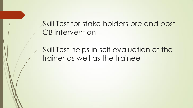Skill Test for stake holders pre and post CB intervention

Skill Test helps in self evaluation of the trainer as well as the trainee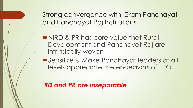Strong convergence with Gram Panchayat and Panchayat Raj Institutions

NIRD & PR has core value that Rural Development and Panchayat Raj are intrinsically woven

Sensitize & Make Panchayat leaders at all levels appreciate the endeavors of FPO

*RD and PR are inseparable*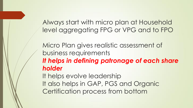Always start with micro plan at Household level aggregating FPG or VPG and to FPO

Micro Plan gives realistic assessment of business requirements *It helps in defining patronage of each share holder* It helps evolve leadership It also helps in GAP, PGS and Organic Certification process from bottom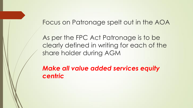#### Focus on Patronage spelt out in the AOA

As per the FPC Act Patronage is to be clearly defined in writing for each of the share holder during AGM

*Make all value added services equity centric*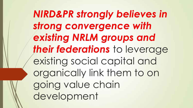*NIRD&PR strongly believes in strong convergence with existing NRLM groups and their federations* to leverage existing social capital and organically link them to on going value chain development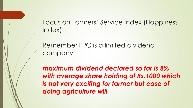Focus on Farmers' Service Index (Happiness Index)

Remember FPC is a limited dividend company

*maximum dividend declared so far is 8% with average share holding of Rs.1000 which is not very exciting for farmer but ease of doing agriculture will*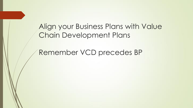Align your Business Plans with Value Chain Development Plans

Remember VCD precedes BP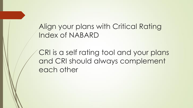Align your plans with Critical Rating Index of NABARD

CRI is a self rating tool and your plans and CRI should always complement each other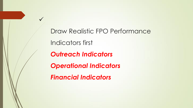Draw Realistic FPO Performance Indicators first *Outreach Indicators Operational Indicators Financial Indicators* 

 $\checkmark$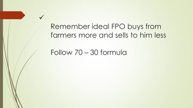Remember ideal FPO buys from farmers more and sells to him less

Follow 70 – 30 formula

 $\checkmark$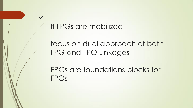## If FPGs are mobilized

 $\checkmark$ 

focus on duel approach of both FPG and FPO Linkages

FPGs are foundations blocks for FPOs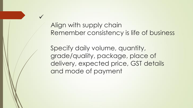Align with supply chain Remember consistency is life of business

 $\checkmark$ 

Specify daily volume, quantity, grade/quality, package, place of delivery, expected price, GST details and mode of payment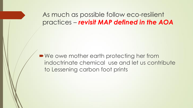As much as possible follow eco-resilient practices – *revisit MAP defined in the AOA*

■ We owe mother earth protecting her from indoctrinate chemical use and let us contribute to Lessening carbon foot prints